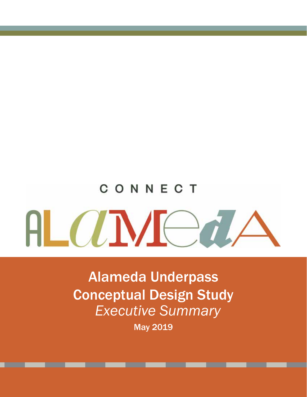# CONNECT AL ANCA

Alameda Underpass Conceptual Design Study *Executive Summary* 

May 2019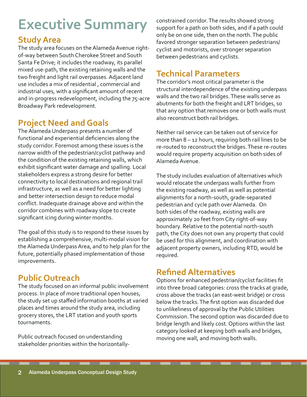# **Executive Summary**

#### **Study Area**

The study area focuses on the Alameda Avenue rightof-way between South Cherokee Street and South Santa Fe Drive; it includes the roadway, its parallel mixed use-path, the existing retaining walls and the two freight and light rail overpasses. Adjacent land use includes a mix of residential , commercial and industrial uses, with a significant amount of recent and in-progress redevelopment, including the 75-acre Broadway Park redevelopment.

## **Project Need and Goals**

The Alameda Underpass presents a number of functional and experiential deficiencies along the study corridor. Foremost among these issues is the narrow width of the pedestrian/cyclist pathway and the condition of the existing retaining walls, which exhibit significant water damage and spalling. Local stakeholders express a strong desire for better connectivity to local destinations and regional trail infrastructure, as well as a need for better lighting and better intersection design to reduce modal conflict. Inadequate drainage above and within the corridor combines with roadway slope to create significant icing during winter months.

The goal of this study is to respond to these issues by establishing a comprehensive, multi-modal vision for the Alameda Underpass Area, and to help plan for the future, potentially phased implementation of those improvements.

### **Public Outreach**

The study focused on an informal public involvement process. In place of more traditional open houses, the study set up staffed information booths at varied places and times around the study area, including grocery stores, the LRT station and youth sports tournaments.

Public outreach focused on understanding stakeholder priorities within the horizontallyconstrained corridor. The results showed strong support for a path on both sides, and if a path could only be on one side, then on the north. The public favored stronger separation between pedestrians/ cyclist and motorists, over stronger separation between pedestrians and cyclists.

#### **Technical Parameters**

The corridor's most critical parameter is the structural interdependence of the existing underpass walls and the two rail bridges. These walls serve as abutments for both the freight and LRT bridges, so that any option that removes one or both walls must also reconstruct both rail bridges.

Neither rail service can be taken out of service for more than 8 – 12 hours, requiring both rail lines to be re-routed to reconstruct the bridges. These re-routes would require property acquisition on both sides of Alameda Avenue.

The study includes evaluation of alternatives which would relocate the underpass walls further from the existing roadway, as well as well as potential alignments for a north-south, grade-separated pedestrian and cycle path over Alameda. On both sides of the roadway, existing walls are approximately 20 feet from City right-of-way boundary. Relative to the potential north-south path, the City does not own any property that could be used for this alignment, and coordination with adjacent property owners, including RTD, would be required.

#### **Refined Alternatives**

Options for enhanced pedestrian/cyclist facilities fit into three broad categories: cross the tracks at grade, cross above the tracks (an east-west bridge) or cross below the tracks. The first option was discarded due to unlikeliness of approval by the Public Utilities Commission. The second option was discarded due to bridge length and likely cost. Options within the last category looked at keeping both walls and bridges, moving one wall, and moving both walls.